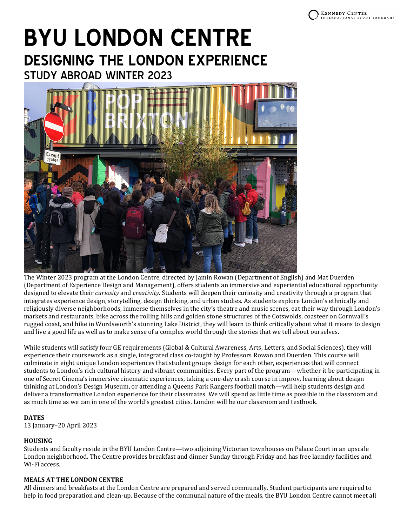# **BYU LONDON CENTRE DESIGNING THE LONDON EXPERIENCE** STUDY ABROAD WINTER 2023



The Winter 2023 program at the London Centre, directed by Jamin Rowan (Department of English) and Mat Duerden (Department of Experience Design and Management), offers students an immersive and experiential educational opportunity designed to elevate their *curiosity* and *creativity*. Students will deepen their curiosity and creativity through a program that integrates experience design, storytelling, design thinking, and urban studies. As students explore London's ethnically and religiously diverse neighborhoods, immerse themselves in the city's theatre and music scenes, eat their way through London's markets and restaurants, bike across the rolling hills and golden stone structures of the Cotswolds, coasteer on Cornwall's rugged coast, and hike in Wordsworth's stunning Lake District, they will learn to think critically about what it means to design and live a good life as well as to make sense of a complex world through the stories that we tell about ourselves.

While students will satisfy four GE requirements (Global & Cultural Awareness, Arts, Letters, and Social Sciences), they will experience their coursework as a single, integrated class co-taught by Professors Rowan and Duerden. This course will culminate in eight unique London experiences that student groups design for each other, experiences that will connect students to London's rich cultural history and vibrant communities. Every part of the program—whether it be participating in one of Secret Cinema's immersive cinematic experiences, taking a one-day crash course in improv, learning about design thinking at London's Design Museum, or attending a Queens Park Rangers football match—will help students design and deliver a transformative London experience for their classmates. We will spend as little time as possible in the classroom and as much time as we can in one of the world's greatest cities. London will be our classroom and textbook.

# **DATES**

13 January–20 April 2023

# **HOUSING**

Students and faculty reside in the BYU London Centre—two adjoining Victorian townhouses on Palace Court in an upscale London neighborhood. The Centre provides breakfast and dinner Sunday through Friday and has free laundry facilities and Wi-Fi access.

# **MEALS AT THE LONDON CENTRE**

All dinners and breakfasts at the London Centre are prepared and served communally. Student participants are required to help in food preparation and clean-up. Because of the communal nature of the meals, the BYU London Centre cannot meet all